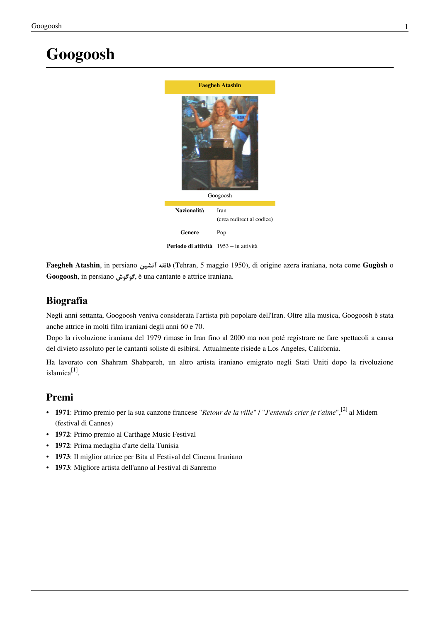# **Googoosh**



**Faegheh Atashin**, in persiano *آتشین فائقه*)[Tehran,](http://it.wikipedia.org/w/index.php?title=Tehran) 5 maggio 1950), di origine [azera i](http://it.wikipedia.org/w/index.php?title=Regione_dell%27Azarbaijan_orientale)raniana, nota come **Gugùsh** o **Googoosh**, in persiano *گوگوش*, è una [cantante](http://it.wikipedia.org/w/index.php?title=Cantante) e [attrice](http://it.wikipedia.org/w/index.php?title=Attore) [iraniana.](http://it.wikipedia.org/w/index.php?title=Iran)

#### **Biografia**

Negli anni [settanta](http://it.wikipedia.org/w/index.php?title=1970), Googoosh veniva considerata l'artista più popolare dell'[Iran.](http://it.wikipedia.org/w/index.php?title=Iran) Oltre alla musica, Googoosh è stata anche attrice in molti film iraniani degli anni [60 e](http://it.wikipedia.org/w/index.php?title=1960) [70.](http://it.wikipedia.org/w/index.php?title=1970)

Dopo la [rivoluzione iraniana d](http://it.wikipedia.org/w/index.php?title=Rivoluzione_iraniana)el [1979](http://it.wikipedia.org/w/index.php?title=1979) rimase in [Iran f](http://it.wikipedia.org/w/index.php?title=Iran)ino al [2000 m](http://it.wikipedia.org/w/index.php?title=2000)a non poté registrare ne fare spettacoli a causa del divieto assoluto per le cantanti soliste di esibirsi. Attualmente risiede a [Los Angeles,](http://it.wikipedia.org/w/index.php?title=Los_Angeles) [California](http://it.wikipedia.org/w/index.php?title=California).

Ha lavorato con [Shahram Shabpareh](http://it.wikipedia.org/w/index.php?title=Shahram_Shabpareh), un altro artista iraniano emigrato negli Stati Uniti dopo la rivoluzione islamica<sup>[1]</sup>.

#### **Premi**

- **1971**: Primo premio per la sua canzone francese "*Retour de la ville*" / "*J'entends crier je t'aime*",[2] al [Midem](http://it.wikipedia.org/w/index.php?title=Midem) (festival di [Cannes\)](http://it.wikipedia.org/w/index.php?title=Cannes)
- **1972**: Primo premio al Carthage Music Festival
- **1972**: Prima medaglia d'arte della Tunisia
- **1973**: Il miglior attrice per Bita al Festival del Cinema Iraniano
- **1973**: Migliore artista dell'anno al [Festival di Sanremo](http://it.wikipedia.org/w/index.php?title=Festival_di_Sanremo)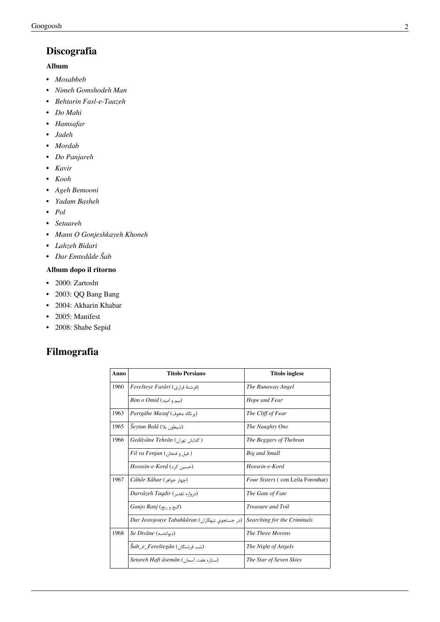### **Discografia**

#### **Album**

- *Mosabbeb*
- *Nimeh Gomshodeh Man*
- *Behtarin Fasl-e-Taazeh*
- *Do Mahi*
- *Hamsafar*
- *Jadeh*
- *Mordab*
- *Do Panjareh*
- *Kavir*
- *Kooh*
- *Ageh Bemooni*
- *Yadam Basheh*
- *Pol*
- *Setaareh*
- *Mann O Gonjeshkayeh Khoneh*
- *Lahzeh Bidari*
- *Dar Emtedâde Šab*

#### **Album dopo il ritorno**

- 2000: Zartosht
- 2003: QQ Bang Bang
- 2004: Akharin Khabar
- 2005: Manifest
- 2008: Shabe Sepid

### **Filmografia**

| Anno | <b>Titolo Persiano</b>                         | <b>Titolo inglese</b>             |
|------|------------------------------------------------|-----------------------------------|
| 1960 | Ferešteye Farâri (فرشتهٔ فراری)                | The Runaway Angel                 |
|      | $Bim\ o\ Omid(\omega_0)$ (سم و امید)           | Hope and Fear                     |
| 1963 | Partgâhe Maxuf (یو تگاه مخوف)                  | The Cliff of Fear                 |
| 1965 | Šeytun Balâ (شیطون بلا)                        | The Naughty One                   |
| 1966 | Gedâyâne Tehrân (كدايان تهران)                 | The Beggars of Thehran            |
|      | Fil va Fenjan (فيل وفنجان)                     | <b>Big and Small</b>              |
|      | Hossein-e-Kord (حسين كرد)                      | Hossein-e-Kord                    |
| 1967 | Câhâr Xâhar (چهار خواهر)                       | Four Sisters (con Leila Forouhar) |
|      | Darvâzeh Taqdir (دروازه تقدير)                 | The Gate of Fate                  |
|      | <i>Ganjo Ranj</i> ( <i>گنج</i> و ,نج)          | <i>Treasure and Toil</i>          |
|      | Dar Jostojouye Tabahkâran (در جستجوى تبهكاران) | Searching for the Criminals       |
| 1968 | Se Divâne (دىوانەسە)                           | The Three Morons                  |
|      | Šab_e_Fereštegân (شب فرشتگان)                  | The Night of Angels               |
|      | Setareh Haft âsemân (ستاره هفت آسمان)          | The Star of Seven Skies           |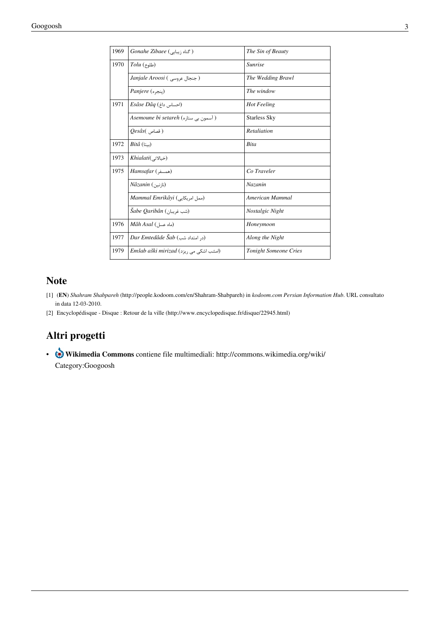| 1969 | Gonahe Zibaee ( گناه زيبايى                                | The Sin of Beauty            |
|------|------------------------------------------------------------|------------------------------|
| 1970 | $Tolu$ (طلوع)                                              | <b>Sunrise</b>               |
|      | Janjale Aroosi ( جنجال عروسي )                             | The Wedding Brawl            |
|      | Panjere (بنجره)                                            | The window                   |
| 1971 | $Es\hat{a}se D\hat{a}q$ (احساس داغ)                        | <b>Hot Feeling</b>           |
|      | ( آسمون بی ستا <sub>د</sub> ه) A <i>semoune bi setareh</i> | <b>Starless Sky</b>          |
|      | $Qes\hat{a}s$ ( قصاص)                                      | Retaliation                  |
| 1972 | $Bit\hat{a}$ (ستا)                                         | <b>Bita</b>                  |
| 1973 | Khialati(خيالاتى)                                          |                              |
| 1975 | Hamsafar (همسفر)                                           | Co Traveler                  |
|      | (نازنین ) Nâzanin                                          | Nazanin                      |
|      | Mammal Emrikâyi (ممل امريكايى)                             | American Mammal              |
|      | Šabe Qaribân (شب غريبان)                                   | Nostalgic Night              |
| 1976 | Mâh Asal (ماه عسل)                                         | Honeymoon                    |
| 1977 | (د, امتداد شب) Dar Emtedâde Šab                            | Along the Night              |
| 1979 | Emšab aški mirizad (امشب اشکی می ریزد)                     | <b>Tonight Someone Cries</b> |
|      |                                                            |                              |

#### **Note**

- [1] (**[EN](http://it.wikipedia.org/w/index.php?title=Lingua_inglese)**) *Shahram Shabpareh* [\(http://people.kodoom.com/en/Shahram-Shabpareh\) i](http://people.kodoom.com/en/Shahram-Shabpareh)n *kodoom.com Persian Information Hub*. URL consultato in data 12-03-2010.
- [2] Encyclopédisque Disque : Retour de la ville [\(http://www.encyclopedisque.fr/disque/22945.html\)](http://www.encyclopedisque.fr/disque/22945.html)

### **Altri progetti**

• **Wikimedia Commons** contiene file multimediali: [http://commons.wikimedia.org/wiki/](http://commons.wikimedia.org/wiki/Category:Googoosh) [Category:Googoosh](http://commons.wikimedia.org/wiki/Category:Googoosh)